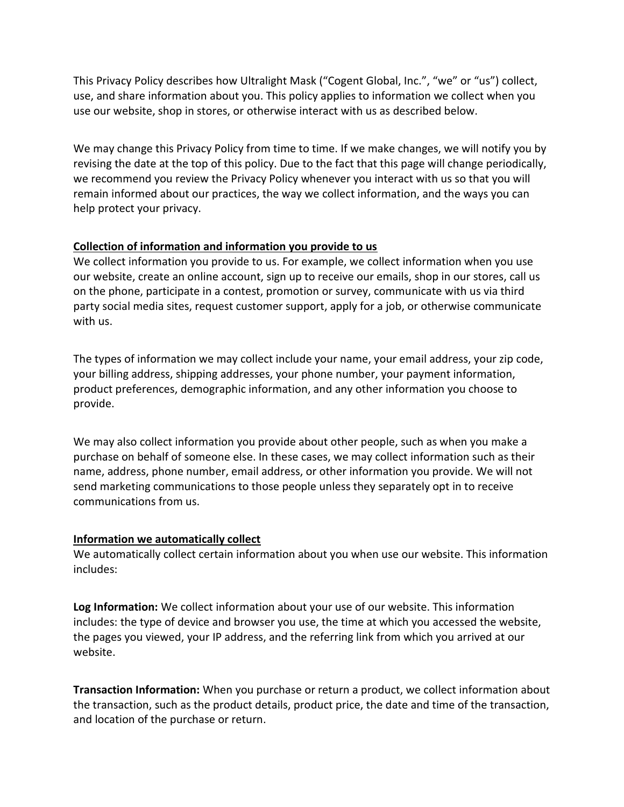This Privacy Policy describes how Ultralight Mask ("Cogent Global, Inc.", "we" or "us") collect, use, and share information about you. This policy applies to information we collect when you use our website, shop in stores, or otherwise interact with us as described below.

We may change this Privacy Policy from time to time. If we make changes, we will notify you by revising the date at the top of this policy. Due to the fact that this page will change periodically, we recommend you review the Privacy Policy whenever you interact with us so that you will remain informed about our practices, the way we collect information, and the ways you can help protect your privacy.

# **Collection of information and information you provide to us**

We collect information you provide to us. For example, we collect information when you use our website, create an online account, sign up to receive our emails, shop in our stores, call us on the phone, participate in a contest, promotion or survey, communicate with us via third party social media sites, request customer support, apply for a job, or otherwise communicate with us.

The types of information we may collect include your name, your email address, your zip code, your billing address, shipping addresses, your phone number, your payment information, product preferences, demographic information, and any other information you choose to provide.

We may also collect information you provide about other people, such as when you make a purchase on behalf of someone else. In these cases, we may collect information such as their name, address, phone number, email address, or other information you provide. We will not send marketing communications to those people unless they separately opt in to receive communications from us.

### **Information we automatically collect**

We automatically collect certain information about you when use our website. This information includes:

**Log Information:** We collect information about your use of our website. This information includes: the type of device and browser you use, the time at which you accessed the website, the pages you viewed, your IP address, and the referring link from which you arrived at our website.

**Transaction Information:** When you purchase or return a product, we collect information about the transaction, such as the product details, product price, the date and time of the transaction, and location of the purchase or return.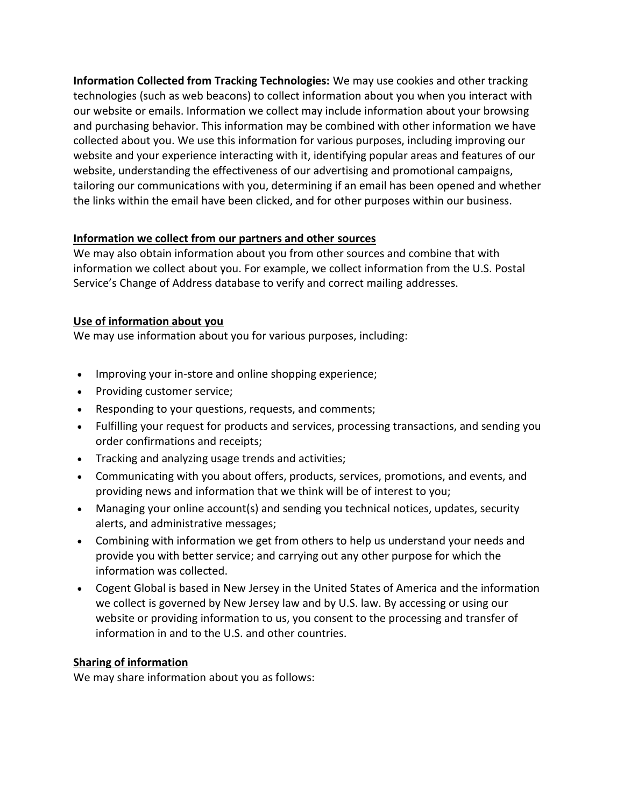**Information Collected from Tracking Technologies:** We may use cookies and other tracking technologies (such as web beacons) to collect information about you when you interact with our website or emails. Information we collect may include information about your browsing and purchasing behavior. This information may be combined with other information we have collected about you. We use this information for various purposes, including improving our website and your experience interacting with it, identifying popular areas and features of our website, understanding the effectiveness of our advertising and promotional campaigns, tailoring our communications with you, determining if an email has been opened and whether the links within the email have been clicked, and for other purposes within our business.

# **Information we collect from our partners and other sources**

We may also obtain information about you from other sources and combine that with information we collect about you. For example, we collect information from the U.S. Postal Service's Change of Address database to verify and correct mailing addresses.

# **Use of information about you**

We may use information about you for various purposes, including:

- Improving your in-store and online shopping experience;
- Providing customer service;
- Responding to your questions, requests, and comments;
- Fulfilling your request for products and services, processing transactions, and sending you order confirmations and receipts;
- Tracking and analyzing usage trends and activities;
- Communicating with you about offers, products, services, promotions, and events, and providing news and information that we think will be of interest to you;
- Managing your online account(s) and sending you technical notices, updates, security alerts, and administrative messages;
- Combining with information we get from others to help us understand your needs and provide you with better service; and carrying out any other purpose for which the information was collected.
- Cogent Global is based in New Jersey in the United States of America and the information we collect is governed by New Jersey law and by U.S. law. By accessing or using our website or providing information to us, you consent to the processing and transfer of information in and to the U.S. and other countries.

# **Sharing of information**

We may share information about you as follows: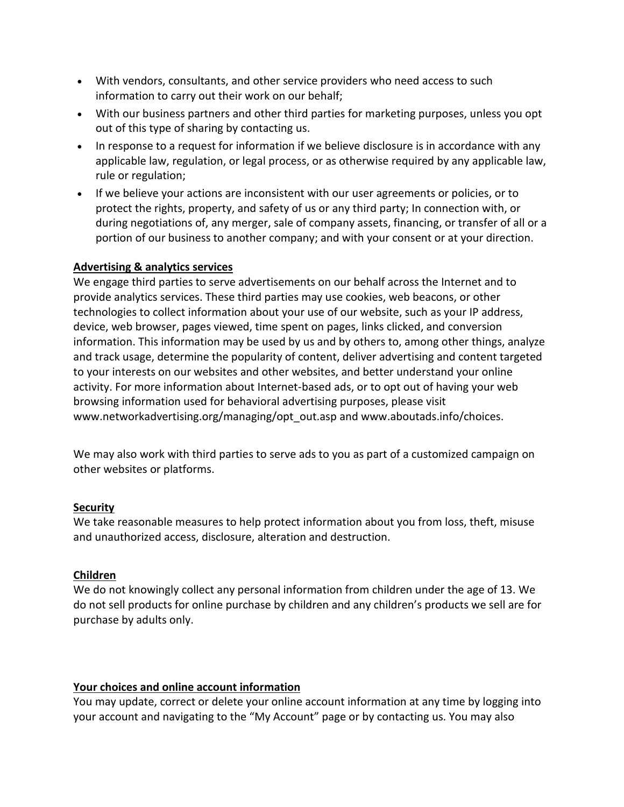- With vendors, consultants, and other service providers who need access to such information to carry out their work on our behalf;
- With our business partners and other third parties for marketing purposes, unless you opt out of this type of sharing by contacting us.
- In response to a request for information if we believe disclosure is in accordance with any applicable law, regulation, or legal process, or as otherwise required by any applicable law, rule or regulation;
- If we believe your actions are inconsistent with our user agreements or policies, or to protect the rights, property, and safety of us or any third party; In connection with, or during negotiations of, any merger, sale of company assets, financing, or transfer of all or a portion of our business to another company; and with your consent or at your direction.

# **Advertising & analytics services**

We engage third parties to serve advertisements on our behalf across the Internet and to provide analytics services. These third parties may use cookies, web beacons, or other technologies to collect information about your use of our website, such as your IP address, device, web browser, pages viewed, time spent on pages, links clicked, and conversion information. This information may be used by us and by others to, among other things, analyze and track usage, determine the popularity of content, deliver advertising and content targeted to your interests on our websites and other websites, and better understand your online activity. For more information about Internet-based ads, or to opt out of having your web browsing information used for behavioral advertising purposes, please visit www.networkadvertising.org/managing/opt\_out.asp and www.aboutads.info/choices.

We may also work with third parties to serve ads to you as part of a customized campaign on other websites or platforms.

# **Security**

We take reasonable measures to help protect information about you from loss, theft, misuse and unauthorized access, disclosure, alteration and destruction.

# **Children**

We do not knowingly collect any personal information from children under the age of 13. We do not sell products for online purchase by children and any children's products we sell are for purchase by adults only.

# **Your choices and online account information**

You may update, correct or delete your online account information at any time by logging into your account and navigating to the "My Account" page or by contacting us. You may also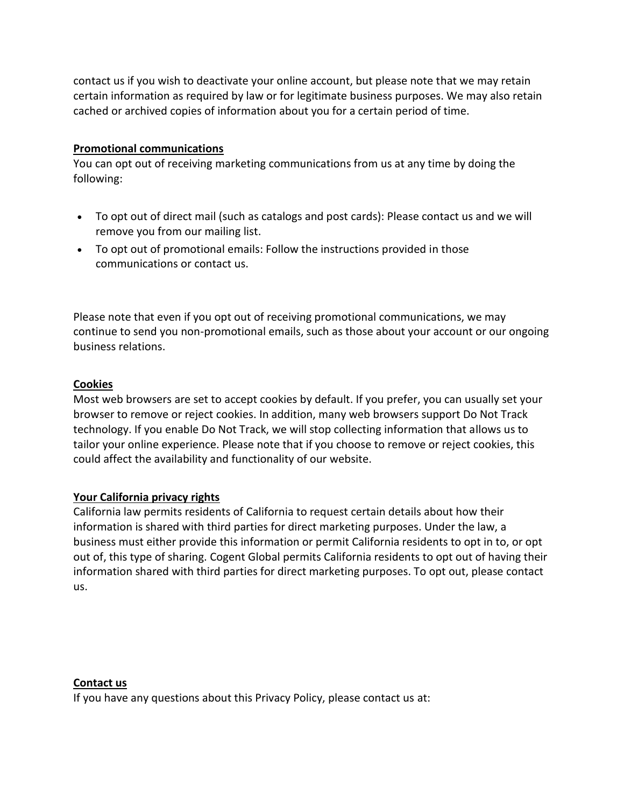contact us if you wish to deactivate your online account, but please note that we may retain certain information as required by law or for legitimate business purposes. We may also retain cached or archived copies of information about you for a certain period of time.

## **Promotional communications**

You can opt out of receiving marketing communications from us at any time by doing the following:

- To opt out of direct mail (such as catalogs and post cards): Please contact us and we will remove you from our mailing list.
- To opt out of promotional emails: Follow the instructions provided in those communications or contact us.

Please note that even if you opt out of receiving promotional communications, we may continue to send you non-promotional emails, such as those about your account or our ongoing business relations.

### **Cookies**

Most web browsers are set to accept cookies by default. If you prefer, you can usually set your browser to remove or reject cookies. In addition, many web browsers support Do Not Track technology. If you enable Do Not Track, we will stop collecting information that allows us to tailor your online experience. Please note that if you choose to remove or reject cookies, this could affect the availability and functionality of our website.

### **Your California privacy rights**

California law permits residents of California to request certain details about how their information is shared with third parties for direct marketing purposes. Under the law, a business must either provide this information or permit California residents to opt in to, or opt out of, this type of sharing. Cogent Global permits California residents to opt out of having their information shared with third parties for direct marketing purposes. To opt out, please contact us.

### **Contact us**

If you have any questions about this Privacy Policy, please contact us at: